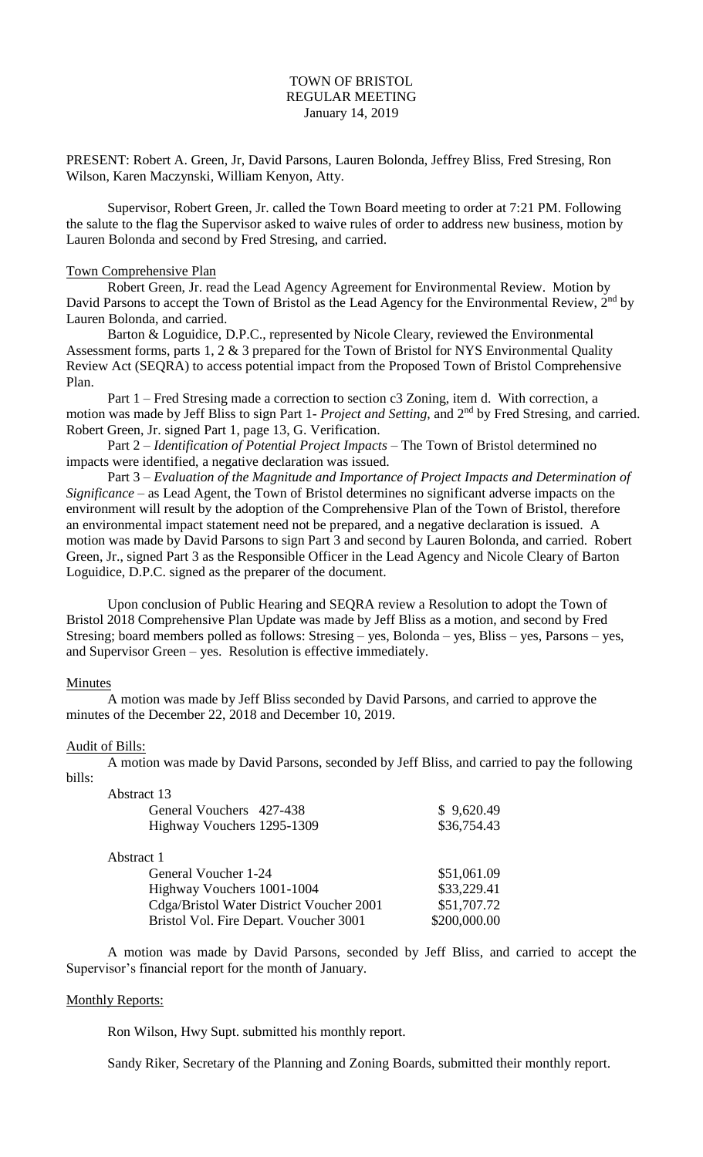# TOWN OF BRISTOL REGULAR MEETING January 14, 2019

PRESENT: Robert A. Green, Jr, David Parsons, Lauren Bolonda, Jeffrey Bliss, Fred Stresing, Ron Wilson, Karen Maczynski, William Kenyon, Atty.

Supervisor, Robert Green, Jr. called the Town Board meeting to order at 7:21 PM. Following the salute to the flag the Supervisor asked to waive rules of order to address new business, motion by Lauren Bolonda and second by Fred Stresing, and carried.

#### Town Comprehensive Plan

Robert Green, Jr. read the Lead Agency Agreement for Environmental Review. Motion by David Parsons to accept the Town of Bristol as the Lead Agency for the Environmental Review, 2<sup>nd</sup> by Lauren Bolonda, and carried.

Barton & Loguidice, D.P.C., represented by Nicole Cleary, reviewed the Environmental Assessment forms, parts 1, 2 & 3 prepared for the Town of Bristol for NYS Environmental Quality Review Act (SEQRA) to access potential impact from the Proposed Town of Bristol Comprehensive Plan.

Part 1 – Fred Stresing made a correction to section c3 Zoning, item d. With correction, a motion was made by Jeff Bliss to sign Part 1- *Project and Setting*, and 2nd by Fred Stresing, and carried. Robert Green, Jr. signed Part 1, page 13, G. Verification.

Part 2 – *Identification of Potential Project Impacts* – The Town of Bristol determined no impacts were identified, a negative declaration was issued.

Part 3 – *Evaluation of the Magnitude and Importance of Project Impacts and Determination of Significance* – as Lead Agent, the Town of Bristol determines no significant adverse impacts on the environment will result by the adoption of the Comprehensive Plan of the Town of Bristol, therefore an environmental impact statement need not be prepared, and a negative declaration is issued. A motion was made by David Parsons to sign Part 3 and second by Lauren Bolonda, and carried. Robert Green, Jr., signed Part 3 as the Responsible Officer in the Lead Agency and Nicole Cleary of Barton Loguidice, D.P.C. signed as the preparer of the document.

Upon conclusion of Public Hearing and SEQRA review a Resolution to adopt the Town of Bristol 2018 Comprehensive Plan Update was made by Jeff Bliss as a motion, and second by Fred Stresing; board members polled as follows: Stresing – yes, Bolonda – yes, Bliss – yes, Parsons – yes, and Supervisor Green – yes. Resolution is effective immediately.

### Minutes

A motion was made by Jeff Bliss seconded by David Parsons, and carried to approve the minutes of the December 22, 2018 and December 10, 2019.

### Audit of Bills:

A motion was made by David Parsons, seconded by Jeff Bliss, and carried to pay the following bills:

| Abstract 13                              |              |
|------------------------------------------|--------------|
| General Vouchers 427-438                 | \$9,620.49   |
| Highway Vouchers 1295-1309               | \$36,754.43  |
| Abstract 1                               |              |
| General Voucher 1-24                     | \$51,061.09  |
| Highway Vouchers 1001-1004               | \$33,229.41  |
| Cdga/Bristol Water District Voucher 2001 | \$51,707.72  |
| Bristol Vol. Fire Depart. Voucher 3001   | \$200,000.00 |

A motion was made by David Parsons, seconded by Jeff Bliss, and carried to accept the Supervisor's financial report for the month of January.

## Monthly Reports:

Ron Wilson, Hwy Supt. submitted his monthly report.

Sandy Riker, Secretary of the Planning and Zoning Boards, submitted their monthly report.